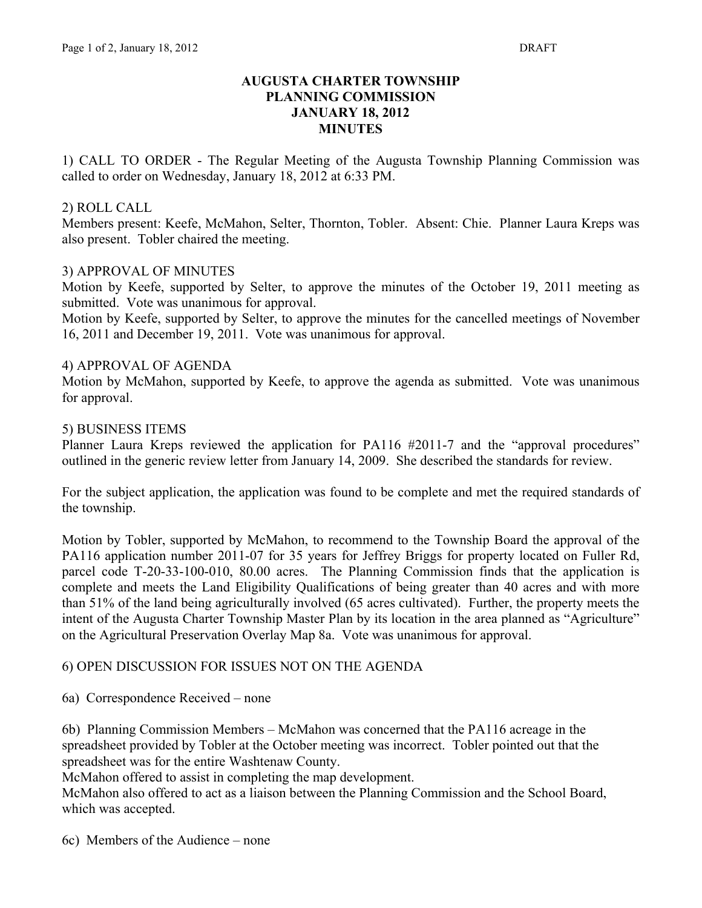### **AUGUSTA CHARTER TOWNSHIP PLANNING COMMISSION JANUARY 18, 2012 MINUTES**

1) CALL TO ORDER - The Regular Meeting of the Augusta Township Planning Commission was called to order on Wednesday, January 18, 2012 at 6:33 PM.

### 2) ROLL CALL

Members present: Keefe, McMahon, Selter, Thornton, Tobler. Absent: Chie. Planner Laura Kreps was also present. Tobler chaired the meeting.

### 3) APPROVAL OF MINUTES

Motion by Keefe, supported by Selter, to approve the minutes of the October 19, 2011 meeting as submitted. Vote was unanimous for approval.

Motion by Keefe, supported by Selter, to approve the minutes for the cancelled meetings of November 16, 2011 and December 19, 2011. Vote was unanimous for approval.

### 4) APPROVAL OF AGENDA

Motion by McMahon, supported by Keefe, to approve the agenda as submitted. Vote was unanimous for approval.

### 5) BUSINESS ITEMS

Planner Laura Kreps reviewed the application for PA116 #2011-7 and the "approval procedures" outlined in the generic review letter from January 14, 2009. She described the standards for review.

For the subject application, the application was found to be complete and met the required standards of the township.

Motion by Tobler, supported by McMahon, to recommend to the Township Board the approval of the PA116 application number 2011-07 for 35 years for Jeffrey Briggs for property located on Fuller Rd, parcel code T-20-33-100-010, 80.00 acres. The Planning Commission finds that the application is complete and meets the Land Eligibility Qualifications of being greater than 40 acres and with more than 51% of the land being agriculturally involved (65 acres cultivated). Further, the property meets the intent of the Augusta Charter Township Master Plan by its location in the area planned as "Agriculture" on the Agricultural Preservation Overlay Map 8a. Vote was unanimous for approval.

# 6) OPEN DISCUSSION FOR ISSUES NOT ON THE AGENDA

6a) Correspondence Received – none

6b) Planning Commission Members – McMahon was concerned that the PA116 acreage in the spreadsheet provided by Tobler at the October meeting was incorrect. Tobler pointed out that the spreadsheet was for the entire Washtenaw County.

McMahon offered to assist in completing the map development.

McMahon also offered to act as a liaison between the Planning Commission and the School Board, which was accepted.

6c) Members of the Audience – none